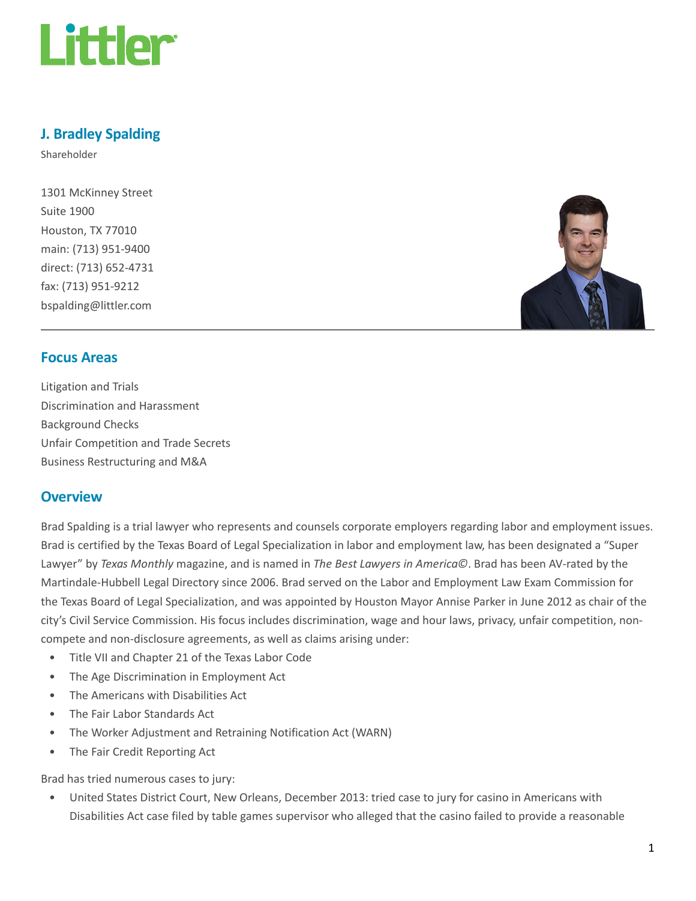

# J. Bradley Spalding

Shareholder

1301 McKinney Street Suite 1900 Houston, TX 77010 main: (713) 951-9400 direct: (713) 652-4731 fax: (713) 951-9212 bspalding@littler.com



## Focus Areas

Litigation and Trials Discrimination and Harassment Background Checks Unfair Competition and Trade Secrets Business Restructuring and M&A

## **Overview**

Brad Spalding is a trial lawyer who represents and counsels corporate employers regarding labor and employment issues. Brad is certified by the Texas Board of Legal Specialization in labor and employment law, has been designated a "Super Lawyer" by Texas Monthly magazine, and is named in The Best Lawyers in America©. Brad has been AV-rated by the Martindale-Hubbell Legal Directory since 2006. Brad served on the Labor and Employment Law Exam Commission for the Texas Board of Legal Specialization, and was appointed by Houston Mayor Annise Parker in June 2012 as chair of the city's Civil Service Commission. His focus includes discrimination, wage and hour laws, privacy, unfair competition, noncompete and non-disclosure agreements, as well as claims arising under:

- Title VII and Chapter 21 of the Texas Labor Code
- The Age Discrimination in Employment Act
- The Americans with Disabilities Act
- The Fair Labor Standards Act
- The Worker Adjustment and Retraining Notification Act (WARN)
- The Fair Credit Reporting Act

Brad has tried numerous cases to jury:

• United States District Court, New Orleans, December 2013: tried case to jury for casino in Americans with Disabilities Act case filed by table games supervisor who alleged that the casino failed to provide a reasonable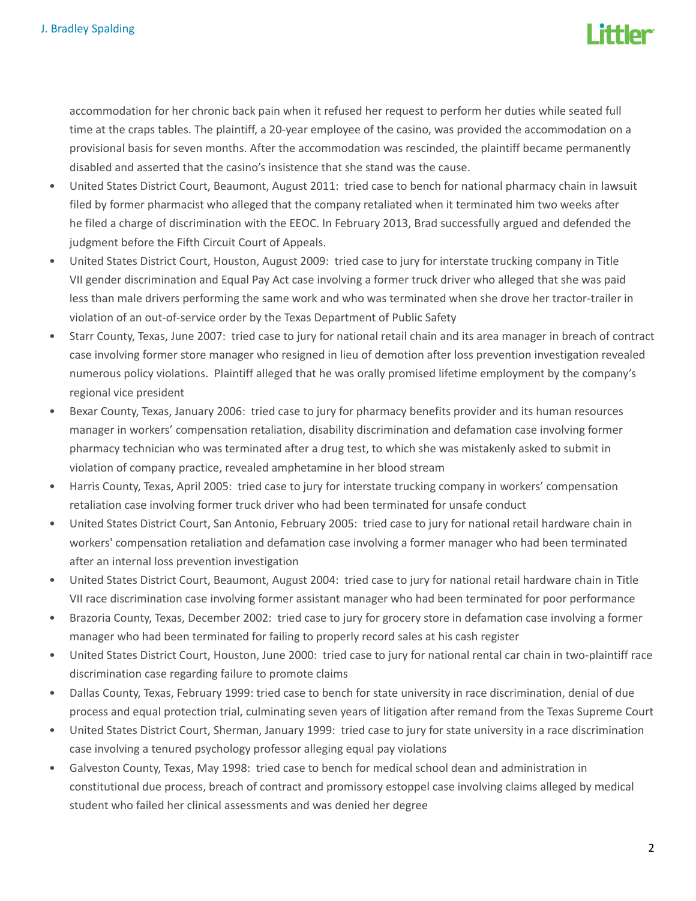

accommodation for her chronic back pain when it refused her request to perform her duties while seated full time at the craps tables. The plaintiff, a 20-year employee of the casino, was provided the accommodation on a provisional basis for seven months. After the accommodation was rescinded, the plaintiff became permanently disabled and asserted that the casino's insistence that she stand was the cause.

- United States District Court, Beaumont, August 2011: tried case to bench for national pharmacy chain in lawsuit filed by former pharmacist who alleged that the company retaliated when it terminated him two weeks after he filed a charge of discrimination with the EEOC. In February 2013, Brad successfully argued and defended the judgment before the Fifth Circuit Court of Appeals.
- United States District Court, Houston, August 2009: tried case to jury for interstate trucking company in Title VII gender discrimination and Equal Pay Act case involving a former truck driver who alleged that she was paid less than male drivers performing the same work and who was terminated when she drove her tractor-trailer in violation of an out-of-service order by the Texas Department of Public Safety
- Starr County, Texas, June 2007: tried case to jury for national retail chain and its area manager in breach of contract case involving former store manager who resigned in lieu of demotion after loss prevention investigation revealed numerous policy violations. Plaintiff alleged that he was orally promised lifetime employment by the company's regional vice president
- Bexar County, Texas, January 2006: tried case to jury for pharmacy benefits provider and its human resources manager in workers' compensation retaliation, disability discrimination and defamation case involving former pharmacy technician who was terminated after a drug test, to which she was mistakenly asked to submit in violation of company practice, revealed amphetamine in her blood stream
- Harris County, Texas, April 2005: tried case to jury for interstate trucking company in workers' compensation retaliation case involving former truck driver who had been terminated for unsafe conduct
- United States District Court, San Antonio, February 2005: tried case to jury for national retail hardware chain in workers' compensation retaliation and defamation case involving a former manager who had been terminated after an internal loss prevention investigation
- United States District Court, Beaumont, August 2004: tried case to jury for national retail hardware chain in Title VII race discrimination case involving former assistant manager who had been terminated for poor performance
- Brazoria County, Texas, December 2002: tried case to jury for grocery store in defamation case involving a former manager who had been terminated for failing to properly record sales at his cash register
- United States District Court, Houston, June 2000: tried case to jury for national rental car chain in two-plaintiff race discrimination case regarding failure to promote claims
- Dallas County, Texas, February 1999: tried case to bench for state university in race discrimination, denial of due process and equal protection trial, culminating seven years of litigation after remand from the Texas Supreme Court
- United States District Court, Sherman, January 1999: tried case to jury for state university in a race discrimination case involving a tenured psychology professor alleging equal pay violations
- Galveston County, Texas, May 1998: tried case to bench for medical school dean and administration in constitutional due process, breach of contract and promissory estoppel case involving claims alleged by medical student who failed her clinical assessments and was denied her degree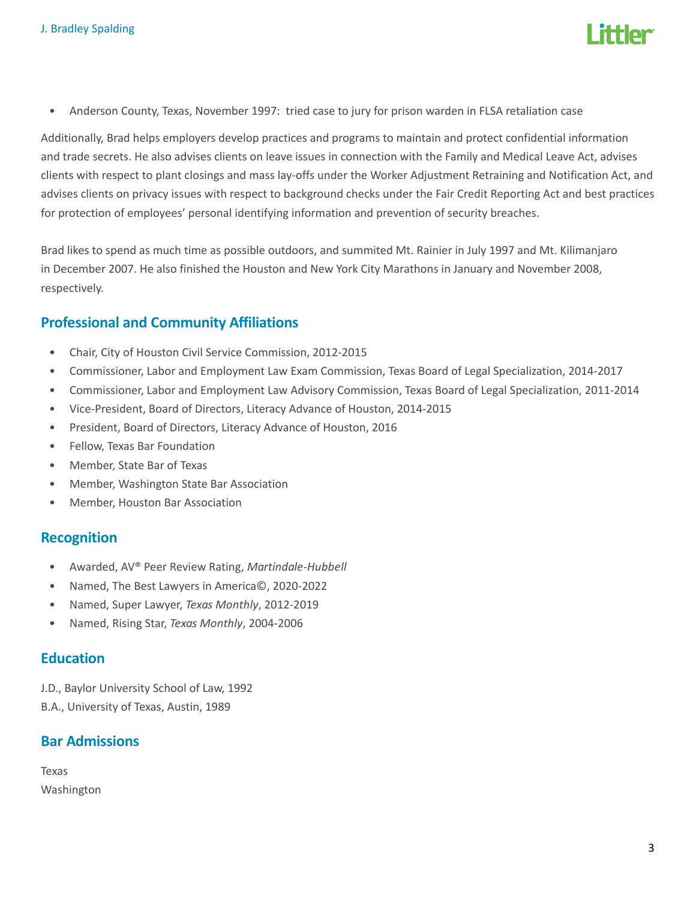

• Anderson County, Texas, November 1997: tried case to jury for prison warden in FLSA retaliation case

Additionally, Brad helps employers develop practices and programs to maintain and protect confidential information and trade secrets. He also advises clients on leave issues in connection with the Family and Medical Leave Act, advises clients with respect to plant closings and mass lay-offs under the Worker Adjustment Retraining and Notification Act, and advises clients on privacy issues with respect to background checks under the Fair Credit Reporting Act and best practices for protection of employees' personal identifying information and prevention of security breaches.

Brad likes to spend as much time as possible outdoors, and summited Mt. Rainier in July 1997 and Mt. Kilimanjaro in December 2007. He also finished the Houston and New York City Marathons in January and November 2008, respectively.

# Professional and Community Affiliations

- Chair, City of Houston Civil Service Commission, 2012-2015
- Commissioner, Labor and Employment Law Exam Commission, Texas Board of Legal Specialization, 2014-2017
- Commissioner, Labor and Employment Law Advisory Commission, Texas Board of Legal Specialization, 2011-2014
- Vice-President, Board of Directors, Literacy Advance of Houston, 2014-2015
- President, Board of Directors, Literacy Advance of Houston, 2016
- Fellow, Texas Bar Foundation
- Member, State Bar of Texas
- Member, Washington State Bar Association
- Member, Houston Bar Association

## Recognition

- Awarded, AV® Peer Review Rating, Martindale-Hubbell
- Named, The Best Lawyers in America©, 2020-2022
- Named, Super Lawyer, Texas Monthly, 2012-2019
- Named, Rising Star, Texas Monthly, 2004-2006

## Education

J.D., Baylor University School of Law, 1992 B.A., University of Texas, Austin, 1989

## Bar Admissions

Texas Washington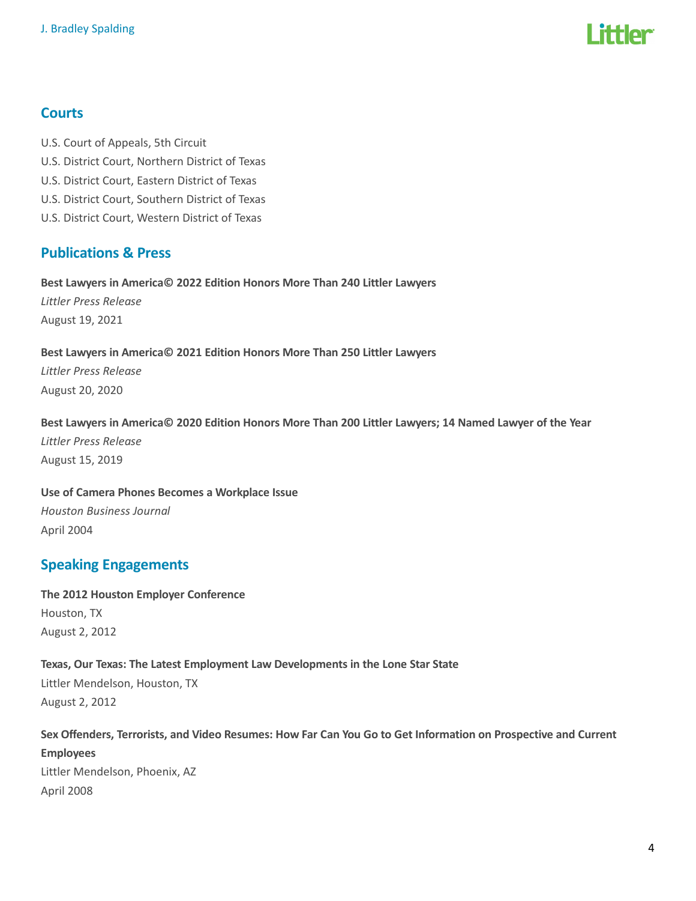

# **Courts**

- U.S. Court of Appeals, 5th Circuit
- U.S. District Court, Northern District of Texas
- U.S. District Court, Eastern District of Texas
- U.S. District Court, Southern District of Texas
- U.S. District Court, Western District of Texas

# Publications & Press

Best Lawyers in America© 2022 Edition Honors More Than 240 Littler Lawyers Littler Press Release August 19, 2021

#### Best Lawyers in America© 2021 Edition Honors More Than 250 Littler Lawyers

Littler Press Release August 20, 2020

#### Best Lawyers in America© 2020 Edition Honors More Than 200 Littler Lawyers; 14 Named Lawyer of the Year

Littler Press Release August 15, 2019

# Use of Camera Phones Becomes a Workplace Issue Houston Business Journal April 2004

# Speaking Engagements

The 2012 Houston Employer Conference Houston, TX August 2, 2012

# Texas, Our Texas: The Latest Employment Law Developments in the Lone Star State

Littler Mendelson, Houston, TX August 2, 2012

# Sex Offenders, Terrorists, and Video Resumes: How Far Can You Go to Get Information on Prospective and Current

Employees Littler Mendelson, Phoenix, AZ April 2008